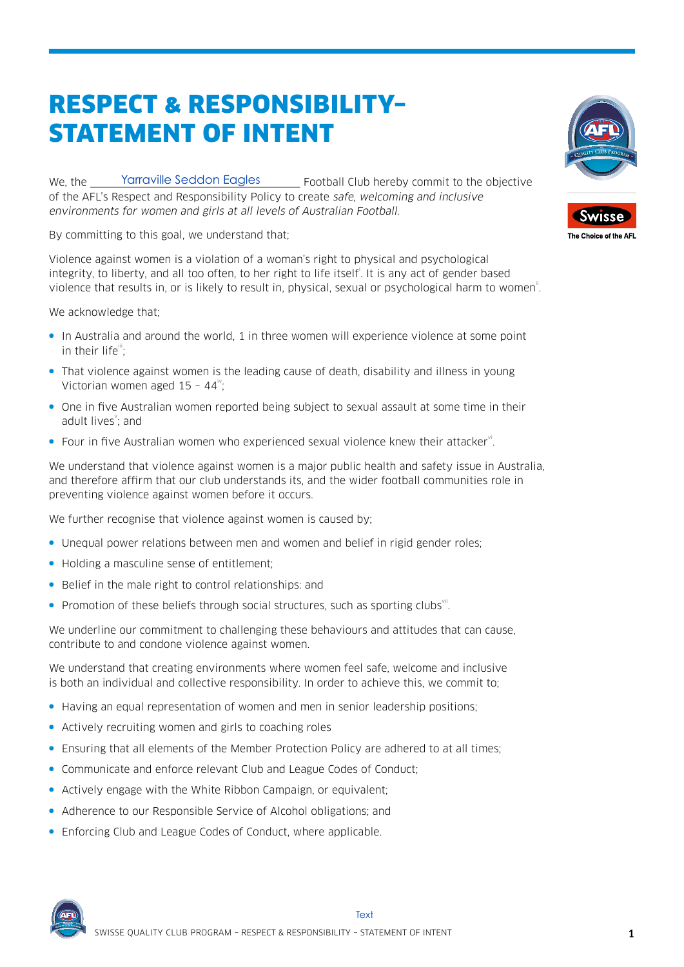## **RESPECT & RESPONSIBILITY-STATEMENT OF INTENT**

Yarraville Seddon Eagles \_\_\_\_\_\_ Football Club hereby commit to the objective We. the of the AFL's Respect and Responsibility Policy to create safe, welcoming and inclusive environments for women and girls at all levels of Australian Football.

By committing to this goal, we understand that;

Violence against women is a violation of a woman's right to physical and psychological integrity, to liberty, and all too often, to her right to life itself. It is any act of gender based violence that results in, or is likely to result in, physical, sexual or psychological harm to women".

We acknowledge that:

- In Australia and around the world, 1 in three women will experience violence at some point in their life":
- That violence against women is the leading cause of death, disability and illness in young Victorian women aged  $15 - 44$ ";
- One in five Australian women reported being subject to sexual assault at some time in their adult lives<sup>"</sup>; and
- Four in five Australian women who experienced sexual violence knew their attacker".

We understand that violence against women is a major public health and safety issue in Australia, and therefore affirm that our club understands its, and the wider football communities role in preventing violence against women before it occurs.

We further recognise that violence against women is caused by:

- Unequal power relations between men and women and belief in rigid gender roles;
- Holding a masculine sense of entitlement:
- Belief in the male right to control relationships: and
- Promotion of these beliefs through social structures, such as sporting clubs".

We underline our commitment to challenging these behaviours and attitudes that can cause, contribute to and condone violence against women.

We understand that creating environments where women feel safe, welcome and inclusive is both an individual and collective responsibility. In order to achieve this, we commit to;

- Having an equal representation of women and men in senior leadership positions;
- Actively recruiting women and girls to coaching roles
- Ensuring that all elements of the Member Protection Policy are adhered to at all times;
- Communicate and enforce relevant Club and League Codes of Conduct;
- Actively engage with the White Ribbon Campaign, or equivalent:
- Adherence to our Responsible Service of Alcohol obligations; and
- Enforcing Club and League Codes of Conduct, where applicable.